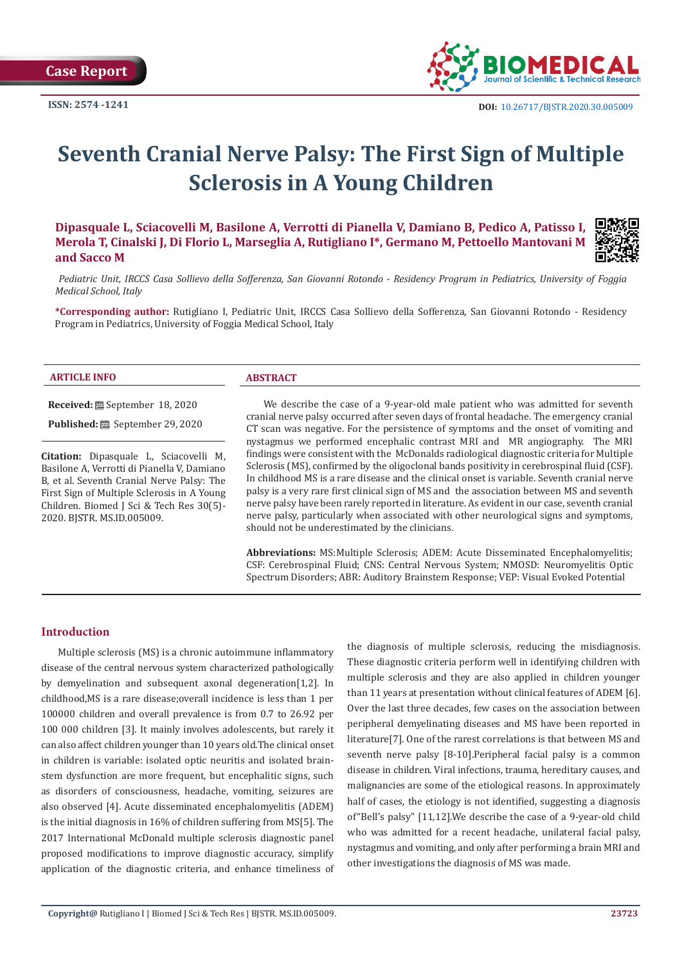

# **Seventh Cranial Nerve Palsy: The First Sign of Multiple Sclerosis in A Young Children**

**Dipasquale L, Sciacovelli M, Basilone A, Verrotti di Pianella V, Damiano B, Pedico A, Patisso I, Merola T, Cinalski J, Di Florio L, Marseglia A, Rutigliano I\*, Germano M, Pettoello Mantovani M and Sacco M**



 *Pediatric Unit, IRCCS Casa Sollievo della Sofferenza, San Giovanni Rotondo - Residency Program in Pediatrics, University of Foggia Medical School, Italy*

**\*Corresponding author:** Rutigliano I, Pediatric Unit, IRCCS Casa Sollievo della Sofferenza, San Giovanni Rotondo - Residency Program in Pediatrics, University of Foggia Medical School, Italy

#### **ARTICLE INFO ABSTRACT**

**Received:** September 18, 2020

**Published:** September 29, 2020

**Citation:** Dipasquale L, Sciacovelli M, Basilone A, Verrotti di Pianella V, Damiano B, et al. Seventh Cranial Nerve Palsy: The First Sign of Multiple Sclerosis in A Young Children. Biomed J Sci & Tech Res 30(5)- 2020. BJSTR. MS.ID.005009.

We describe the case of a 9-year-old male patient who was admitted for seventh cranial nerve palsy occurred after seven days of frontal headache. The emergency cranial CT scan was negative. For the persistence of symptoms and the onset of vomiting and nystagmus we performed encephalic contrast MRI and MR angiography. The MRI findings were consistent with the McDonalds radiological diagnostic criteria for Multiple Sclerosis (MS), confirmed by the oligoclonal bands positivity in cerebrospinal fluid (CSF). In childhood MS is a rare disease and the clinical onset is variable. Seventh cranial nerve palsy is a very rare first clinical sign of MS and the association between MS and seventh nerve palsy have been rarely reported in literature. As evident in our case, seventh cranial nerve palsy, particularly when associated with other neurological signs and symptoms, should not be underestimated by the clinicians.

**Abbreviations:** MS:Multiple Sclerosis; ADEM: Acute Disseminated Encephalomyelitis; CSF: Cerebrospinal Fluid; CNS: Central Nervous System; NMOSD: Neuromyelitis Optic Spectrum Disorders; ABR: Auditory Brainstem Response; VEP: Visual Evoked Potential

# **Introduction**

Multiple sclerosis (MS) is a chronic autoimmune inflammatory disease of the central nervous system characterized pathologically by demyelination and subsequent axonal degeneration[1,2]. In childhood,MS is a rare disease;overall incidence is less than 1 per 100000 children and overall prevalence is from 0.7 to 26.92 per 100 000 children [3]. It mainly involves adolescents, but rarely it can also affect children younger than 10 years old.The clinical onset in children is variable: isolated optic neuritis and isolated brainstem dysfunction are more frequent, but encephalitic signs, such as disorders of consciousness, headache, vomiting, seizures are also observed [4]. Acute disseminated encephalomyelitis (ADEM) is the initial diagnosis in 16% of children suffering from MS[5]. The 2017 International McDonald multiple sclerosis diagnostic panel proposed modifications to improve diagnostic accuracy, simplify application of the diagnostic criteria, and enhance timeliness of the diagnosis of multiple sclerosis, reducing the misdiagnosis. These diagnostic criteria perform well in identifying children with multiple sclerosis and they are also applied in children younger than 11 years at presentation without clinical features of ADEM [6]. Over the last three decades, few cases on the association between peripheral demyelinating diseases and MS have been reported in literature[7]. One of the rarest correlations is that between MS and seventh nerve palsy [8-10].Peripheral facial palsy is a common disease in children. Viral infections, trauma, hereditary causes, and malignancies are some of the etiological reasons. In approximately half of cases, the etiology is not identified, suggesting a diagnosis of"Bell's palsy" [11,12].We describe the case of a 9-year-old child who was admitted for a recent headache, unilateral facial palsy, nystagmus and vomiting, and only after performing a brain MRI and other investigations the diagnosis of MS was made.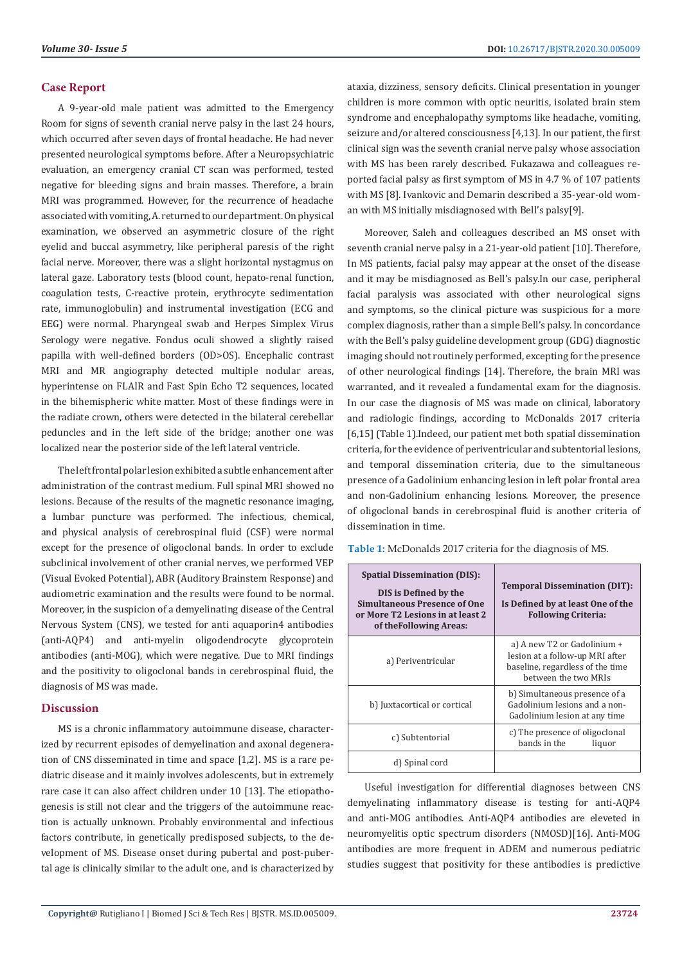# **Case Report**

A 9-year-old male patient was admitted to the Emergency Room for signs of seventh cranial nerve palsy in the last 24 hours, which occurred after seven days of frontal headache. He had never presented neurological symptoms before. After a Neuropsychiatric evaluation, an emergency cranial CT scan was performed, tested negative for bleeding signs and brain masses. Therefore, a brain MRI was programmed. However, for the recurrence of headache associated with vomiting, A. returned to our department. On physical examination, we observed an asymmetric closure of the right eyelid and buccal asymmetry, like peripheral paresis of the right facial nerve. Moreover, there was a slight horizontal nystagmus on lateral gaze. Laboratory tests (blood count, hepato-renal function, coagulation tests, C-reactive protein, erythrocyte sedimentation rate, immunoglobulin) and instrumental investigation (ECG and EEG) were normal. Pharyngeal swab and Herpes Simplex Virus Serology were negative. Fondus oculi showed a slightly raised papilla with well-defined borders (OD>OS). Encephalic contrast MRI and MR angiography detected multiple nodular areas, hyperintense on FLAIR and Fast Spin Echo T2 sequences, located in the bihemispheric white matter. Most of these findings were in the radiate crown, others were detected in the bilateral cerebellar peduncles and in the left side of the bridge; another one was localized near the posterior side of the left lateral ventricle.

The left frontal polar lesion exhibited a subtle enhancement after administration of the contrast medium. Full spinal MRI showed no lesions. Because of the results of the magnetic resonance imaging, a lumbar puncture was performed. The infectious, chemical, and physical analysis of cerebrospinal fluid (CSF) were normal except for the presence of oligoclonal bands. In order to exclude subclinical involvement of other cranial nerves, we performed VEP (Visual Evoked Potential), ABR (Auditory Brainstem Response) and audiometric examination and the results were found to be normal. Moreover, in the suspicion of a demyelinating disease of the Central Nervous System (CNS), we tested for anti aquaporin4 antibodies (anti-AQP4) and anti-myelin oligodendrocyte glycoprotein antibodies (anti-MOG), which were negative. Due to MRI findings and the positivity to oligoclonal bands in cerebrospinal fluid, the diagnosis of MS was made.

## **Discussion**

MS is a chronic inflammatory autoimmune disease, characterized by recurrent episodes of demyelination and axonal degeneration of CNS disseminated in time and space [1,2]. MS is a rare pediatric disease and it mainly involves adolescents, but in extremely rare case it can also affect children under 10 [13]. The etiopathogenesis is still not clear and the triggers of the autoimmune reaction is actually unknown. Probably environmental and infectious factors contribute, in genetically predisposed subjects, to the development of MS. Disease onset during pubertal and post-pubertal age is clinically similar to the adult one, and is characterized by

ataxia, dizziness, sensory deficits. Clinical presentation in younger children is more common with optic neuritis, isolated brain stem syndrome and encephalopathy symptoms like headache, vomiting, seizure and/or altered consciousness [4,13]. In our patient, the first clinical sign was the seventh cranial nerve palsy whose association with MS has been rarely described. Fukazawa and colleagues reported facial palsy as first symptom of MS in 4.7 % of 107 patients with MS [8]. Ivankovic and Demarin described a 35-year-old woman with MS initially misdiagnosed with Bell's palsy[9].

Moreover, Saleh and colleagues described an MS onset with seventh cranial nerve palsy in a 21-year-old patient [10]. Therefore, In MS patients, facial palsy may appear at the onset of the disease and it may be misdiagnosed as Bell's palsy.In our case, peripheral facial paralysis was associated with other neurological signs and symptoms, so the clinical picture was suspicious for a more complex diagnosis, rather than a simple Bell's palsy. In concordance with the Bell's palsy guideline development group (GDG) diagnostic imaging should not routinely performed, excepting for the presence of other neurological findings [14]. Therefore, the brain MRI was warranted, and it revealed a fundamental exam for the diagnosis. In our case the diagnosis of MS was made on clinical, laboratory and radiologic findings, according to McDonalds 2017 criteria [6,15] (Table 1).Indeed, our patient met both spatial dissemination criteria, for the evidence of periventricular and subtentorial lesions, and temporal dissemination criteria, due to the simultaneous presence of a Gadolinium enhancing lesion in left polar frontal area and non-Gadolinium enhancing lesions. Moreover, the presence of oligoclonal bands in cerebrospinal fluid is another criteria of dissemination in time.

**Table 1:** McDonalds 2017 criteria for the diagnosis of MS.

| <b>Spatial Dissemination (DIS):</b><br>DIS is Defined by the<br><b>Simultaneous Presence of One</b><br>or More T2 Lesions in at least 2<br>of the Following Areas: | <b>Temporal Dissemination (DIT):</b><br>Is Defined by at least One of the<br><b>Following Criteria:</b>                    |
|--------------------------------------------------------------------------------------------------------------------------------------------------------------------|----------------------------------------------------------------------------------------------------------------------------|
| a) Periventricular                                                                                                                                                 | a) A new T2 or Gadolinium +<br>lesion at a follow-up MRI after<br>baseline, regardless of the time<br>between the two MRIs |
| b) Juxtacortical or cortical                                                                                                                                       | b) Simultaneous presence of a<br>Gadolinium lesions and a non-<br>Gadolinium lesion at any time                            |
| c) Subtentorial                                                                                                                                                    | c) The presence of oligoclonal<br>bands in the<br>liquor                                                                   |
| d) Spinal cord                                                                                                                                                     |                                                                                                                            |

Useful investigation for differential diagnoses between CNS demyelinating inflammatory disease is testing for anti-AQP4 and anti-MOG antibodies. Anti-AQP4 antibodies are eleveted in neuromyelitis optic spectrum disorders (NMOSD)[16]. Anti-MOG antibodies are more frequent in ADEM and numerous pediatric studies suggest that positivity for these antibodies is predictive